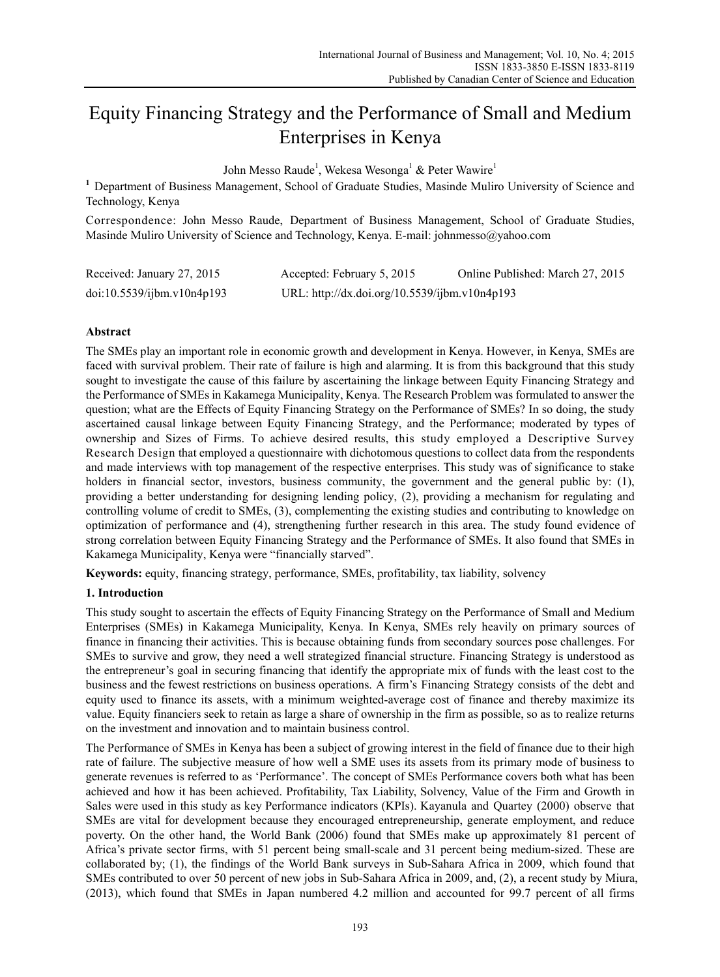# Equity Financing Strategy and the Performance of Small and Medium Enterprises in Kenya

John Messo Raude<sup>1</sup>, Wekesa Wesonga<sup>1</sup> & Peter Wawire<sup>1</sup>

**<sup>1</sup>** Department of Business Management, School of Graduate Studies, Masinde Muliro University of Science and Technology, Kenya

Correspondence: John Messo Raude, Department of Business Management, School of Graduate Studies, Masinde Muliro University of Science and Technology, Kenya. E-mail: johnmesso@yahoo.com

| Received: January 27, 2015 | Accepted: February 5, 2015                    | Online Published: March 27, 2015 |
|----------------------------|-----------------------------------------------|----------------------------------|
| doi:10.5539/ijbm.v10n4p193 | URL: http://dx.doi.org/10.5539/ijbm.v10n4p193 |                                  |

## **Abstract**

The SMEs play an important role in economic growth and development in Kenya. However, in Kenya, SMEs are faced with survival problem. Their rate of failure is high and alarming. It is from this background that this study sought to investigate the cause of this failure by ascertaining the linkage between Equity Financing Strategy and the Performance of SMEs in Kakamega Municipality, Kenya. The Research Problem was formulated to answer the question; what are the Effects of Equity Financing Strategy on the Performance of SMEs? In so doing, the study ascertained causal linkage between Equity Financing Strategy, and the Performance; moderated by types of ownership and Sizes of Firms. To achieve desired results, this study employed a Descriptive Survey Research Design that employed a questionnaire with dichotomous questions to collect data from the respondents and made interviews with top management of the respective enterprises. This study was of significance to stake holders in financial sector, investors, business community, the government and the general public by: (1), providing a better understanding for designing lending policy, (2), providing a mechanism for regulating and controlling volume of credit to SMEs, (3), complementing the existing studies and contributing to knowledge on optimization of performance and (4), strengthening further research in this area. The study found evidence of strong correlation between Equity Financing Strategy and the Performance of SMEs. It also found that SMEs in Kakamega Municipality, Kenya were "financially starved".

**Keywords:** equity, financing strategy, performance, SMEs, profitability, tax liability, solvency

## **1. Introduction**

This study sought to ascertain the effects of Equity Financing Strategy on the Performance of Small and Medium Enterprises (SMEs) in Kakamega Municipality, Kenya. In Kenya, SMEs rely heavily on primary sources of finance in financing their activities. This is because obtaining funds from secondary sources pose challenges. For SMEs to survive and grow, they need a well strategized financial structure. Financing Strategy is understood as the entrepreneur's goal in securing financing that identify the appropriate mix of funds with the least cost to the business and the fewest restrictions on business operations. A firm's Financing Strategy consists of the debt and equity used to finance its assets, with a minimum weighted-average cost of finance and thereby maximize its value. Equity financiers seek to retain as large a share of ownership in the firm as possible, so as to realize returns on the investment and innovation and to maintain business control.

The Performance of SMEs in Kenya has been a subject of growing interest in the field of finance due to their high rate of failure. The subjective measure of how well a SME uses its assets from its primary mode of business to generate revenues is referred to as 'Performance'. The concept of SMEs Performance covers both what has been achieved and how it has been achieved. Profitability, Tax Liability, Solvency, Value of the Firm and Growth in Sales were used in this study as key Performance indicators (KPIs). Kayanula and Quartey (2000) observe that SMEs are vital for development because they encouraged entrepreneurship, generate employment, and reduce poverty. On the other hand, the World Bank (2006) found that SMEs make up approximately 81 percent of Africa's private sector firms, with 51 percent being small-scale and 31 percent being medium-sized. These are collaborated by; (1), the findings of the World Bank surveys in Sub-Sahara Africa in 2009, which found that SMEs contributed to over 50 percent of new jobs in Sub-Sahara Africa in 2009, and, (2), a recent study by Miura, (2013), which found that SMEs in Japan numbered 4.2 million and accounted for 99.7 percent of all firms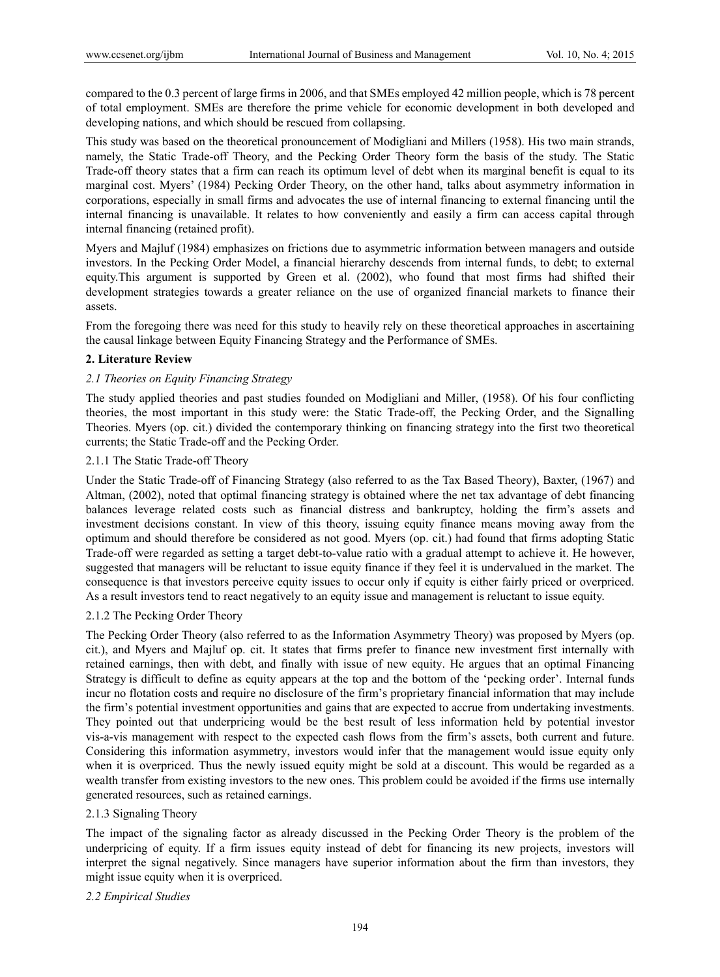compared to the 0.3 percent of large firms in 2006, and that SMEs employed 42 million people, which is 78 percent of total employment. SMEs are therefore the prime vehicle for economic development in both developed and developing nations, and which should be rescued from collapsing.

This study was based on the theoretical pronouncement of Modigliani and Millers (1958). His two main strands, namely, the Static Trade-off Theory, and the Pecking Order Theory form the basis of the study. The Static Trade-off theory states that a firm can reach its optimum level of debt when its marginal benefit is equal to its marginal cost. Myers' (1984) Pecking Order Theory, on the other hand, talks about asymmetry information in corporations, especially in small firms and advocates the use of internal financing to external financing until the internal financing is unavailable. It relates to how conveniently and easily a firm can access capital through internal financing (retained profit).

Myers and Majluf (1984) emphasizes on frictions due to asymmetric information between managers and outside investors. In the Pecking Order Model, a financial hierarchy descends from internal funds, to debt; to external equity.This argument is supported by Green et al. (2002), who found that most firms had shifted their development strategies towards a greater reliance on the use of organized financial markets to finance their assets.

From the foregoing there was need for this study to heavily rely on these theoretical approaches in ascertaining the causal linkage between Equity Financing Strategy and the Performance of SMEs.

## **2. Literature Review**

## *2.1 Theories on Equity Financing Strategy*

The study applied theories and past studies founded on Modigliani and Miller, (1958). Of his four conflicting theories, the most important in this study were: the Static Trade-off, the Pecking Order, and the Signalling Theories. Myers (op. cit.) divided the contemporary thinking on financing strategy into the first two theoretical currents; the Static Trade-off and the Pecking Order.

## 2.1.1 The Static Trade-off Theory

Under the Static Trade-off of Financing Strategy (also referred to as the Tax Based Theory), Baxter, (1967) and Altman, (2002), noted that optimal financing strategy is obtained where the net tax advantage of debt financing balances leverage related costs such as financial distress and bankruptcy, holding the firm's assets and investment decisions constant. In view of this theory, issuing equity finance means moving away from the optimum and should therefore be considered as not good. Myers (op. cit.) had found that firms adopting Static Trade-off were regarded as setting a target debt-to-value ratio with a gradual attempt to achieve it. He however, suggested that managers will be reluctant to issue equity finance if they feel it is undervalued in the market. The consequence is that investors perceive equity issues to occur only if equity is either fairly priced or overpriced. As a result investors tend to react negatively to an equity issue and management is reluctant to issue equity.

## 2.1.2 The Pecking Order Theory

The Pecking Order Theory (also referred to as the Information Asymmetry Theory) was proposed by Myers (op. cit.), and Myers and Majluf op. cit. It states that firms prefer to finance new investment first internally with retained earnings, then with debt, and finally with issue of new equity. He argues that an optimal Financing Strategy is difficult to define as equity appears at the top and the bottom of the 'pecking order'. Internal funds incur no flotation costs and require no disclosure of the firm's proprietary financial information that may include the firm's potential investment opportunities and gains that are expected to accrue from undertaking investments. They pointed out that underpricing would be the best result of less information held by potential investor vis-a-vis management with respect to the expected cash flows from the firm's assets, both current and future. Considering this information asymmetry, investors would infer that the management would issue equity only when it is overpriced. Thus the newly issued equity might be sold at a discount. This would be regarded as a wealth transfer from existing investors to the new ones. This problem could be avoided if the firms use internally generated resources, such as retained earnings.

## 2.1.3 Signaling Theory

The impact of the signaling factor as already discussed in the Pecking Order Theory is the problem of the underpricing of equity. If a firm issues equity instead of debt for financing its new projects, investors will interpret the signal negatively. Since managers have superior information about the firm than investors, they might issue equity when it is overpriced.

## *2.2 Empirical Studies*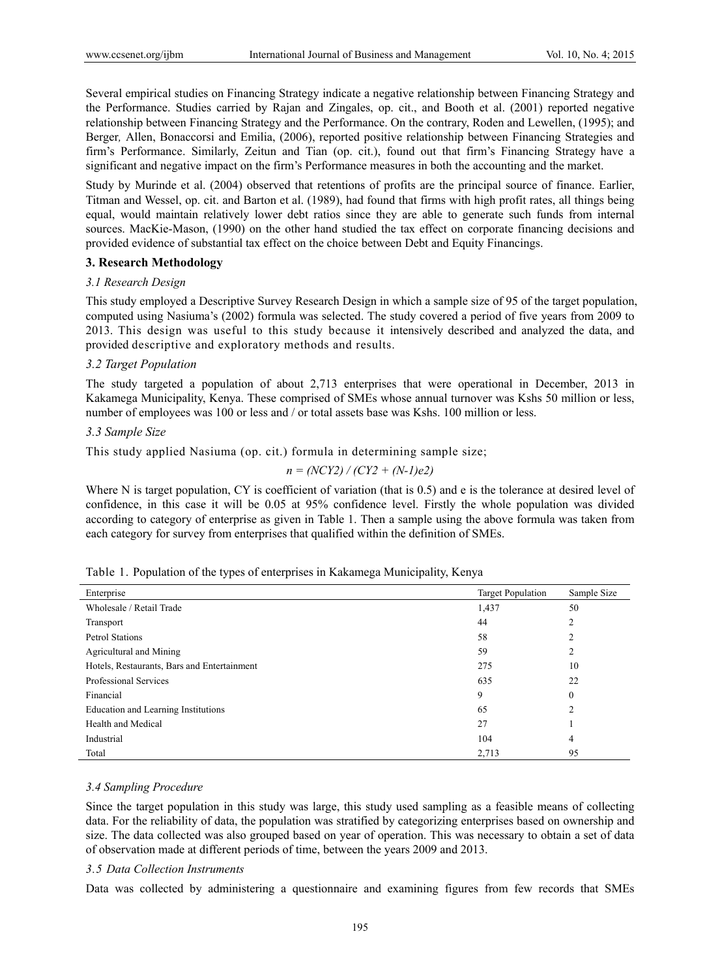Several empirical studies on Financing Strategy indicate a negative relationship between Financing Strategy and the Performance. Studies carried by Rajan and Zingales, op. cit., and Booth et al. (2001) reported negative relationship between Financing Strategy and the Performance. On the contrary, Roden and Lewellen, (1995); and Berger, Allen, Bonaccorsi and Emilia, (2006), reported positive relationship between Financing Strategies and firm's Performance. Similarly, Zeitun and Tian (op. cit.), found out that firm's Financing Strategy have a significant and negative impact on the firm's Performance measures in both the accounting and the market.

Study by Murinde et al. (2004) observed that retentions of profits are the principal source of finance. Earlier, Titman and Wessel, op. cit. and Barton et al. (1989), had found that firms with high profit rates, all things being equal, would maintain relatively lower debt ratios since they are able to generate such funds from internal sources. MacKie-Mason, (1990) on the other hand studied the tax effect on corporate financing decisions and provided evidence of substantial tax effect on the choice between Debt and Equity Financings.

## **3. Research Methodology**

#### *3.1 Research Design*

This study employed a Descriptive Survey Research Design in which a sample size of 95 of the target population, computed using Nasiuma's (2002) formula was selected. The study covered a period of five years from 2009 to 2013. This design was useful to this study because it intensively described and analyzed the data, and provided descriptive and exploratory methods and results.

#### *3.2 Target Population*

The study targeted a population of about 2,713 enterprises that were operational in December, 2013 in Kakamega Municipality, Kenya. These comprised of SMEs whose annual turnover was Kshs 50 million or less, number of employees was 100 or less and / or total assets base was Kshs. 100 million or less.

## *3.3 Sample Size*

This study applied Nasiuma (op. cit.) formula in determining sample size;

$$
n = (NCY2) / (CY2 + (N-1)e2)
$$

Where N is target population, CY is coefficient of variation (that is 0.5) and e is the tolerance at desired level of confidence, in this case it will be 0.05 at 95% confidence level. Firstly the whole population was divided according to category of enterprise as given in Table 1. Then a sample using the above formula was taken from each category for survey from enterprises that qualified within the definition of SMEs.

| Enterprise                                  | <b>Target Population</b> | Sample Size    |
|---------------------------------------------|--------------------------|----------------|
| Wholesale / Retail Trade                    | 1,437                    | 50             |
| Transport                                   | 44                       | 2              |
| <b>Petrol Stations</b>                      | 58                       | 2              |
| Agricultural and Mining                     | 59                       | 2              |
| Hotels, Restaurants, Bars and Entertainment | 275                      | 10             |
| Professional Services                       | 635                      | 22             |
| Financial                                   | 9                        | $\theta$       |
| Education and Learning Institutions         | 65                       | $\overline{c}$ |
| Health and Medical                          | 27                       |                |
| Industrial                                  | 104                      | 4              |
| Total                                       | 2,713                    | 95             |

Table 1. Population of the types of enterprises in Kakamega Municipality, Kenya

#### *3.4 Sampling Procedure*

Since the target population in this study was large, this study used sampling as a feasible means of collecting data. For the reliability of data, the population was stratified by categorizing enterprises based on ownership and size. The data collected was also grouped based on year of operation. This was necessary to obtain a set of data of observation made at different periods of time, between the years 2009 and 2013.

#### *3.5 Data Collection Instruments*

Data was collected by administering a questionnaire and examining figures from few records that SMEs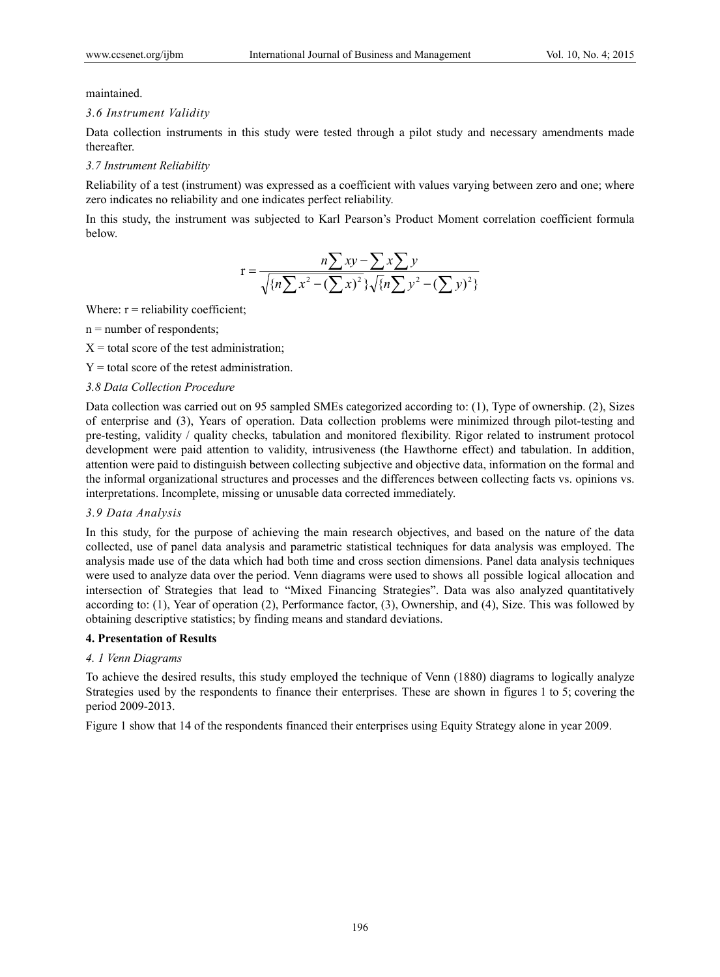#### maintained.

#### *3.6 Instrument Validity*

Data collection instruments in this study were tested through a pilot study and necessary amendments made thereafter.

## *3.7 Instrument Reliability*

Reliability of a test (instrument) was expressed as a coefficient with values varying between zero and one; where zero indicates no reliability and one indicates perfect reliability.

In this study, the instrument was subjected to Karl Pearson's Product Moment correlation coefficient formula below.

$$
r = \frac{n\sum xy - \sum x \sum y}{\sqrt{\{n\sum x^2 - (\sum x)^2\}\sqrt{\{n\sum y^2 - (\sum y)^2\}}}}
$$

Where:  $r =$  reliability coefficient;

 $n =$  number of respondents;

- $X =$  total score of the test administration:
- $Y =$  total score of the retest administration.

#### *3.8 Data Collection Procedure*

Data collection was carried out on 95 sampled SMEs categorized according to: (1), Type of ownership. (2), Sizes of enterprise and (3), Years of operation. Data collection problems were minimized through pilot-testing and pre-testing, validity / quality checks, tabulation and monitored flexibility. Rigor related to instrument protocol development were paid attention to validity, intrusiveness (the Hawthorne effect) and tabulation. In addition, attention were paid to distinguish between collecting subjective and objective data, information on the formal and the informal organizational structures and processes and the differences between collecting facts vs. opinions vs. interpretations. Incomplete, missing or unusable data corrected immediately.

## *3.9 Data Analysis*

In this study, for the purpose of achieving the main research objectives, and based on the nature of the data collected, use of panel data analysis and parametric statistical techniques for data analysis was employed. The analysis made use of the data which had both time and cross section dimensions. Panel data analysis techniques were used to analyze data over the period. Venn diagrams were used to shows all possible logical allocation and intersection of Strategies that lead to "Mixed Financing Strategies". Data was also analyzed quantitatively according to: (1), Year of operation (2), Performance factor, (3), Ownership, and (4), Size. This was followed by obtaining descriptive statistics; by finding means and standard deviations.

## **4. Presentation of Results**

#### *4. 1 Venn Diagrams*

To achieve the desired results, this study employed the technique of Venn (1880) diagrams to logically analyze Strategies used by the respondents to finance their enterprises. These are shown in figures 1 to 5; covering the period 2009-2013.

Figure 1 show that 14 of the respondents financed their enterprises using Equity Strategy alone in year 2009.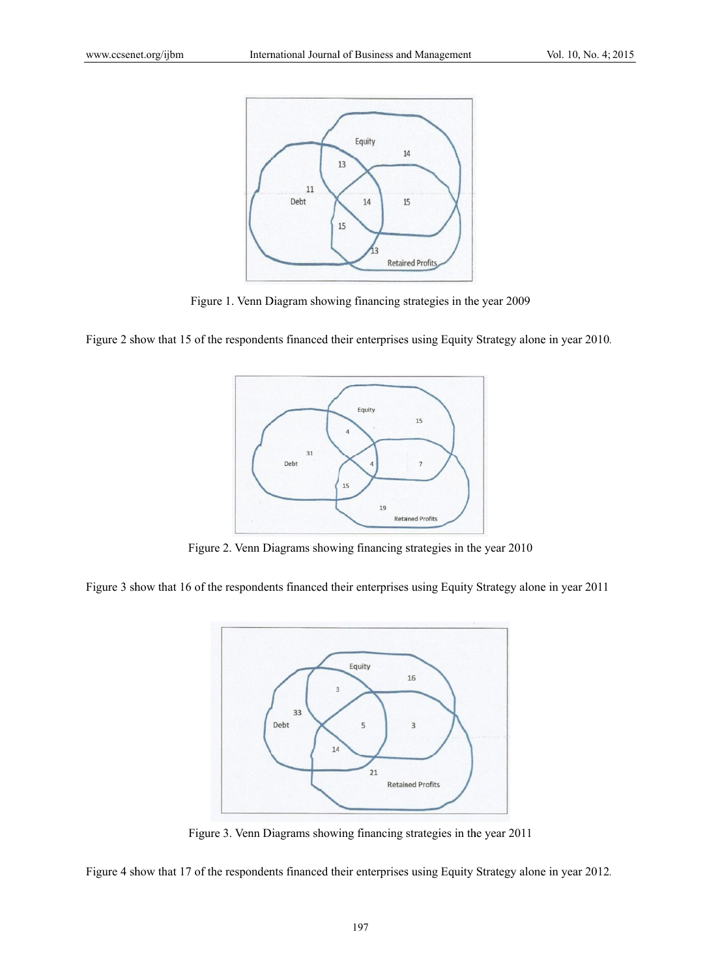

Figure 1. Venn Diagram showing financing strategies in the year 2009

Figure 2 show that 15 of the respondents financed their enterprises using Equity Strategy alone in year 2010.



Figure 2. Venn Diagrams showing financing strategies in the year 2010

Figure 3 show that 16 of the respondents financed their enterprises using Equity Strategy alone in year 2011



Figure 3. Venn Diagrams showing financing strategies in the year 2011

Figure 4 show that 17 of the respondents financed their enterprises using Equity Strategy alone in year 2012.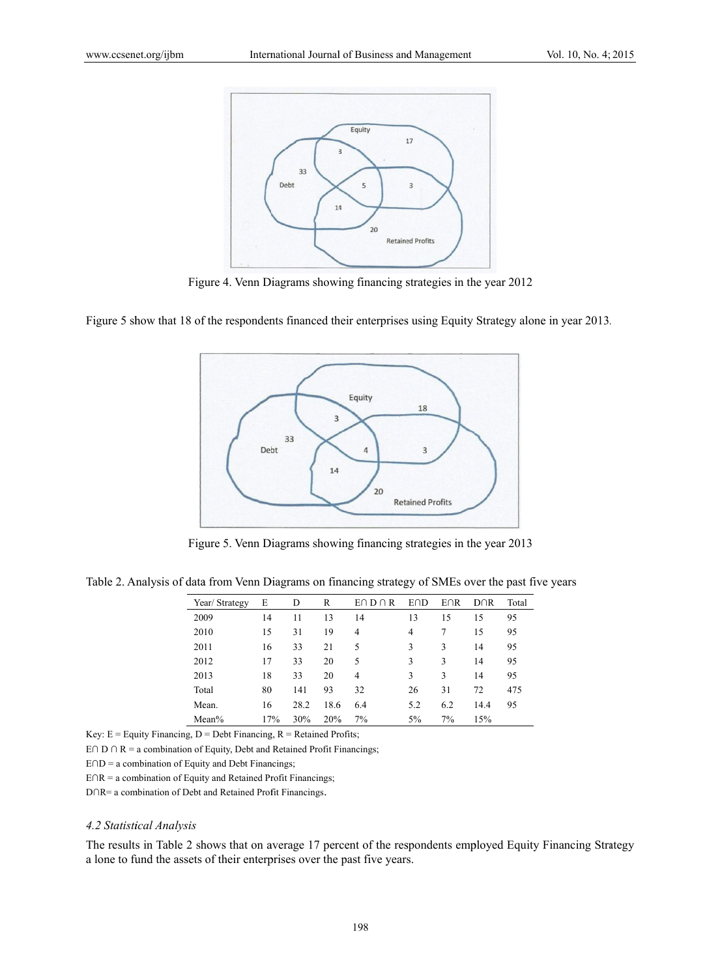

Figure 4. Venn Diagrams showing financing strategies in the year 2012

Figure 5 show that 18 of the respondents financed their enterprises using Equity Strategy alone in year 2013.



Figure 5. Venn Diagrams showing financing strategies in the year 2013

Table 2. Analysis of data from Venn Diagrams on financing strategy of SMEs over the past five years

| Year/ Strategy | E   | D    | R    | $E \cap D \cap R$ | EOD | $E \cap R$ | $D \cap R$ | Total |
|----------------|-----|------|------|-------------------|-----|------------|------------|-------|
| 2009           | 14  | 11   | 13   | 14                | 13  | 15         | 15         | 95    |
| 2010           | 15  | 31   | 19   | 4                 | 4   | 7          | 15         | 95    |
| 2011           | 16  | 33   | 21   | 5                 | 3   | 3          | 14         | 95    |
| 2012           | 17  | 33   | 20   | 5                 | 3   | 3          | 14         | 95    |
| 2013           | 18  | 33   | 20   | 4                 | 3   | 3          | 14         | 95    |
| Total          | 80  | 141  | 93   | 32                | 26  | 31         | 72         | 475   |
| Mean.          | 16  | 28.2 | 18.6 | 6.4               | 5.2 | 6.2        | 14.4       | 95    |
| Mean%          | 17% | 30%  | 20%  | 7%                | 5%  | 7%         | 15%        |       |

Key:  $E =$  Equity Financing,  $D =$  Debt Financing,  $R =$  Retained Profits;

 $E \cap D \cap R =$  a combination of Equity, Debt and Retained Profit Financings;

 $E \cap D = a$  combination of Equity and Debt Financings;

 $E \cap R$  = a combination of Equity and Retained Profit Financings;

D∩R= a combination of Debt and Retained Profit Financings.

#### *4.2 Statisti ical Analysis*

The results in Table 2 shows that on average 17 percent of the respondents employed Equity Financing Strategy a lone to fund the assets of their enterprises over the past five years.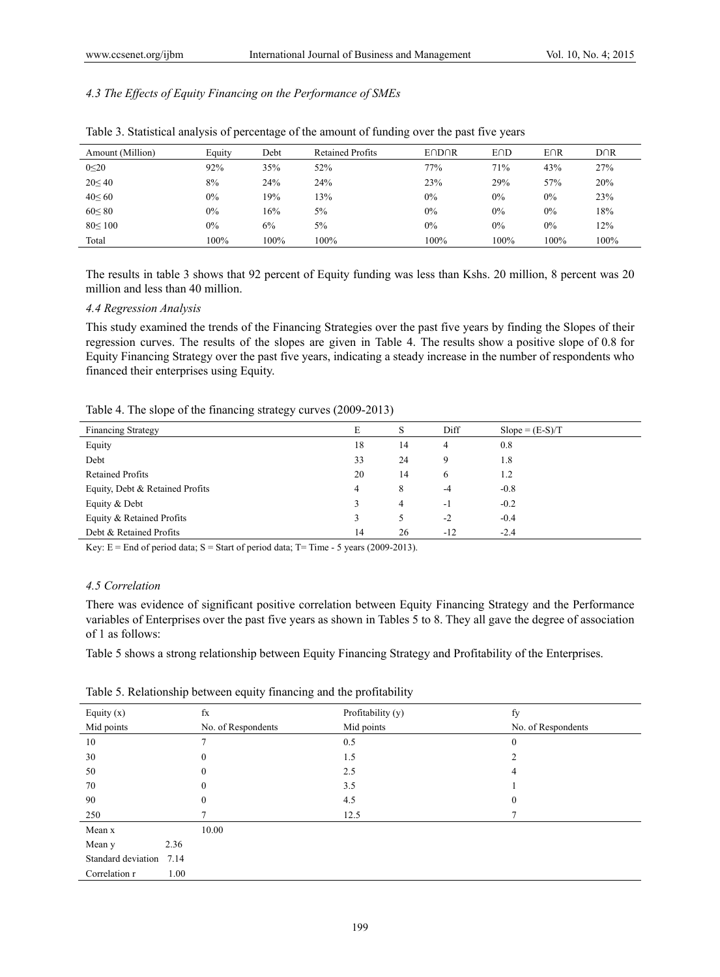## *4.3 The Effects of Equity Financing on the Performance of SMEs*

| Amount (Million) | Equity | Debt | <b>Retained Profits</b> | $E \cap D \cap R$ | $E \cap D$ | $E \cap R$ | $D \cap R$ |
|------------------|--------|------|-------------------------|-------------------|------------|------------|------------|
| $0 \leq 20$      | 92%    | 35%  | 52%                     | 77%               | 71%        | 43%        | 27%        |
| $20 \leq 40$     | 8%     | 24%  | 24%                     | 23%               | 29%        | 57%        | 20%        |
| $40 \le 60$      | $0\%$  | 19%  | 13%                     | 0%                | $0\%$      | $0\%$      | 23%        |
| $60 \leq 80$     | $0\%$  | 16%  | 5%                      | 0%                | $0\%$      | $0\%$      | 18%        |
| $80 \le 100$     | $0\%$  | 6%   | 5%                      | 0%                | $0\%$      | $0\%$      | 12%        |
| Total            | 100%   | 100% | 100%                    | 100%              | 100%       | 100%       | 100%       |

| Table 3. Statistical analysis of percentage of the amount of funding over the past five years |  |  |  |
|-----------------------------------------------------------------------------------------------|--|--|--|
|                                                                                               |  |  |  |

The results in table 3 shows that 92 percent of Equity funding was less than Kshs. 20 million, 8 percent was 20 million and less than 40 million.

## *4.4 Regression Analysis*

This study examined the trends of the Financing Strategies over the past five years by finding the Slopes of their regression curves. The results of the slopes are given in Table 4. The results show a positive slope of 0.8 for Equity Financing Strategy over the past five years, indicating a steady increase in the number of respondents who financed their enterprises using Equity.

|  | Table 4. The slope of the financing strategy curves (2009-2013) |  |  |
|--|-----------------------------------------------------------------|--|--|
|  |                                                                 |  |  |

| <b>Financing Strategy</b>       | E  | S  | Diff           | $Slope = (E-S)/T$ |
|---------------------------------|----|----|----------------|-------------------|
| Equity                          | 18 | 14 | $\overline{4}$ | 0.8               |
| Debt                            | 33 | 24 | 9              | 1.8               |
| <b>Retained Profits</b>         | 20 | 14 | 6              | 1.2               |
| Equity, Debt & Retained Profits | 4  | 8  | -4             | $-0.8$            |
| Equity & Debt                   |    | 4  | $-1$           | $-0.2$            |
| Equity & Retained Profits       |    |    | $-2$           | $-0.4$            |
| Debt & Retained Profits         | 14 | 26 | $-12$          | $-2.4$            |

Key:  $E =$  End of period data;  $S =$  Start of period data;  $T =$  Time - 5 years (2009-2013).

## *4.5 Correlation*

There was evidence of significant positive correlation between Equity Financing Strategy and the Performance variables of Enterprises over the past five years as shown in Tables 5 to 8. They all gave the degree of association of 1 as follows:

Table 5 shows a strong relationship between Equity Financing Strategy and Profitability of the Enterprises.

| Equity $(x)$       | fx                 | Profitability (y) | fy                 |
|--------------------|--------------------|-------------------|--------------------|
| Mid points         | No. of Respondents | Mid points        | No. of Respondents |
| 10                 | $\overline{7}$     | 0.5               | $\mathbf{0}$       |
| 30                 | $\boldsymbol{0}$   | 1.5               | 2                  |
| 50                 | $\boldsymbol{0}$   | 2.5               | 4                  |
| 70                 | $\boldsymbol{0}$   | 3.5               |                    |
| 90                 | $\theta$           | 4.5               | $\boldsymbol{0}$   |
| 250                | ┑                  | 12.5              | 7                  |
| Mean x             | 10.00              |                   |                    |
| Mean y             | 2.36               |                   |                    |
| Standard deviation | 7.14               |                   |                    |
| Correlation r      | 1.00               |                   |                    |

Table 5. Relationship between equity financing and the profitability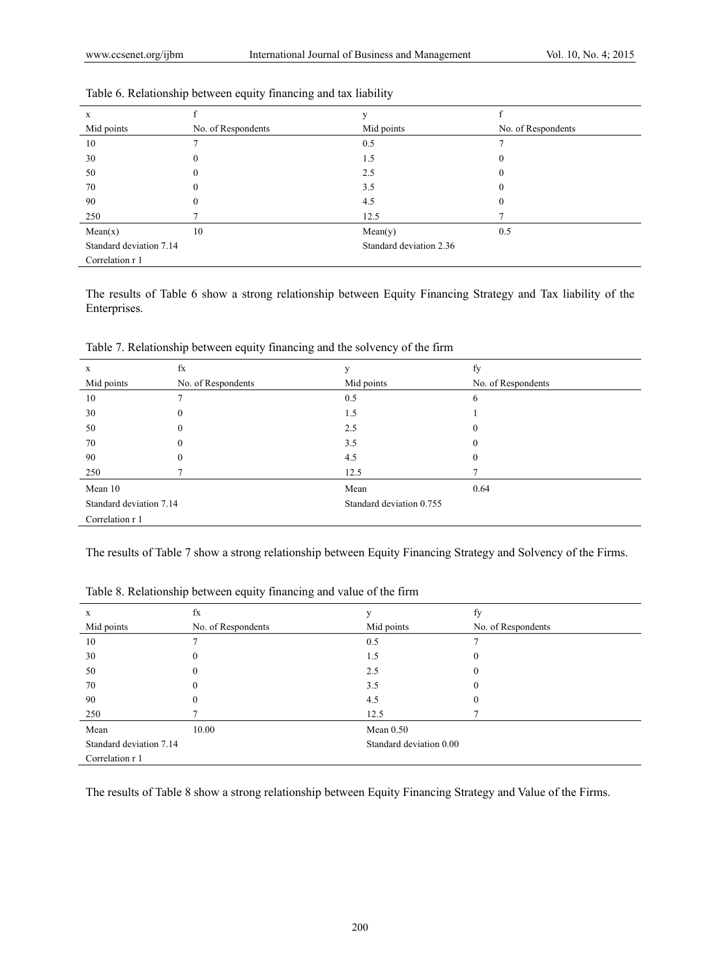| X                       |                    |                         |                    |
|-------------------------|--------------------|-------------------------|--------------------|
| Mid points              | No. of Respondents | Mid points              | No. of Respondents |
| 10                      |                    | 0.5                     |                    |
| 30                      | 0                  | 1.5                     | 0                  |
| 50                      |                    | 2.5                     | $\theta$           |
| 70                      | 0                  | 3.5                     | $\bf{0}$           |
| 90                      |                    | 4.5                     | v                  |
| 250                     |                    | 12.5                    |                    |
| Mean(x)                 | 10                 | Mean(y)                 | 0.5                |
| Standard deviation 7.14 |                    | Standard deviation 2.36 |                    |
| Correlation r 1         |                    |                         |                    |

Table 6. Relationship between equity financing and tax liability

The results of Table 6 show a strong relationship between Equity Financing Strategy and Tax liability of the Enterprises.

| X                       | fx                 | $\mathbf{V}$             | fy                 |
|-------------------------|--------------------|--------------------------|--------------------|
| Mid points              | No. of Respondents | Mid points               | No. of Respondents |
| 10                      |                    | 0.5                      | 6                  |
| 30                      | 0                  | 1.5                      |                    |
| 50                      |                    | 2.5                      | $\mathbf{0}$       |
| 70                      | 0                  | 3.5                      | $\mathbf{0}$       |
| 90                      | 0                  | 4.5                      | $\mathbf{0}$       |
| 250                     |                    | 12.5                     |                    |
| Mean 10                 |                    | Mean                     | 0.64               |
| Standard deviation 7.14 |                    | Standard deviation 0.755 |                    |
| Correlation r 1         |                    |                          |                    |

Table 7. Relationship between equity financing and the solvency of the firm

The results of Table 7 show a strong relationship between Equity Financing Strategy and Solvency of the Firms.

| X                       | fx                 |                         | fy                 |
|-------------------------|--------------------|-------------------------|--------------------|
| Mid points              | No. of Respondents | Mid points              | No. of Respondents |
| 10                      |                    | 0.5                     |                    |
| 30                      |                    | 1.5                     |                    |
| 50                      |                    | 2.5                     |                    |
| 70                      |                    | 3.5                     |                    |
| 90                      |                    | 4.5                     |                    |
| 250                     |                    | 12.5                    |                    |
| Mean                    | 10.00              | Mean $0.50$             |                    |
| Standard deviation 7.14 |                    | Standard deviation 0.00 |                    |
| Correlation r 1         |                    |                         |                    |

Table 8. Relationship between equity financing and value of the firm

The results of Table 8 show a strong relationship between Equity Financing Strategy and Value of the Firms.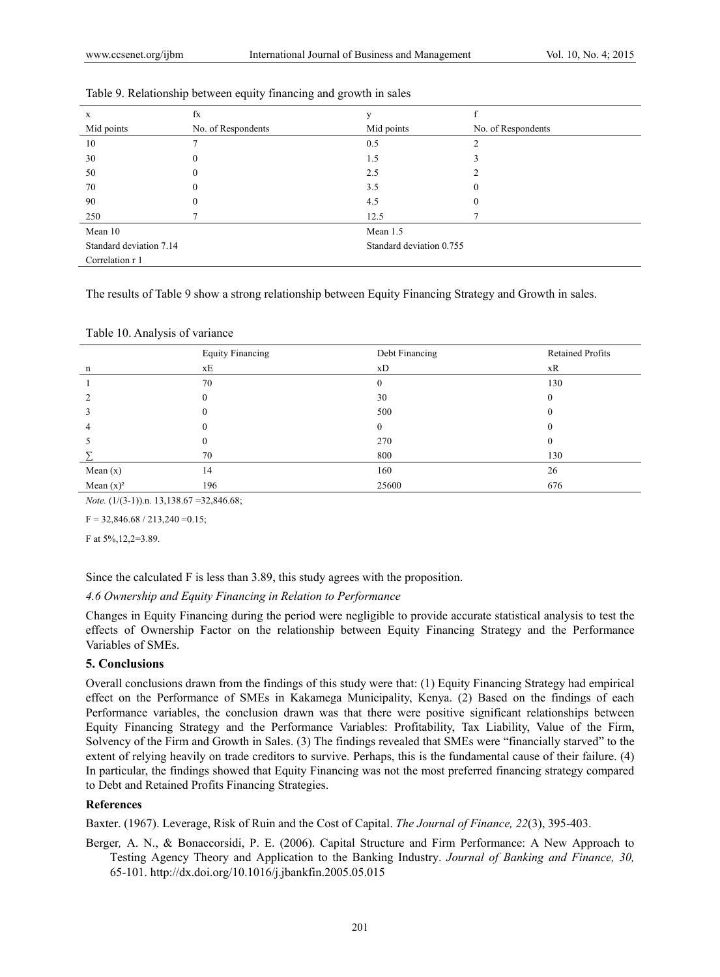| X                       | fx                 | v                        |                    |
|-------------------------|--------------------|--------------------------|--------------------|
| Mid points              | No. of Respondents | Mid points               | No. of Respondents |
| 10                      |                    | 0.5                      |                    |
| 30                      | $\theta$           | 1.5                      |                    |
| 50                      | $\theta$           | 2.5                      |                    |
| 70                      | $\Omega$           | 3.5                      |                    |
| 90                      | $\theta$           | 4.5                      |                    |
| 250                     |                    | 12.5                     |                    |
| Mean 10                 |                    | Mean 1.5                 |                    |
| Standard deviation 7.14 |                    | Standard deviation 0.755 |                    |
| Correlation r 1         |                    |                          |                    |

Table 9. Relationship between equity financing and growth in sales

The results of Table 9 show a strong relationship between Equity Financing Strategy and Growth in sales.

|              | <b>Equity Financing</b> | Debt Financing | <b>Retained Profits</b> |
|--------------|-------------------------|----------------|-------------------------|
| n            | xE                      | xD             | xR                      |
|              | 70                      | 0              | 130                     |
| ി            |                         | 30             |                         |
|              |                         | 500            |                         |
|              |                         | 0              |                         |
|              |                         | 270            |                         |
|              | 70                      | 800            | 130                     |
| Mean (x)     | 14                      | 160            | 26                      |
| Mean $(x)^2$ | 196                     | 25600          | 676                     |

Table 10. Analysis of variance

*Note.* (1/(3-1)).n. 13,138.67 =32,846.68;

 $F = 32,846.68 / 213,240 = 0.15$ ;

F at 5%,12,2=3.89.

Since the calculated F is less than 3.89, this study agrees with the proposition.

#### *4.6 Ownership and Equity Financing in Relation to Performance*

Changes in Equity Financing during the period were negligible to provide accurate statistical analysis to test the effects of Ownership Factor on the relationship between Equity Financing Strategy and the Performance Variables of SMEs.

#### **5. Conclusions**

Overall conclusions drawn from the findings of this study were that: (1) Equity Financing Strategy had empirical effect on the Performance of SMEs in Kakamega Municipality, Kenya. (2) Based on the findings of each Performance variables, the conclusion drawn was that there were positive significant relationships between Equity Financing Strategy and the Performance Variables: Profitability, Tax Liability, Value of the Firm, Solvency of the Firm and Growth in Sales. (3) The findings revealed that SMEs were "financially starved" to the extent of relying heavily on trade creditors to survive. Perhaps, this is the fundamental cause of their failure. (4) In particular, the findings showed that Equity Financing was not the most preferred financing strategy compared to Debt and Retained Profits Financing Strategies.

#### **References**

Baxter. (1967). Leverage, Risk of Ruin and the Cost of Capital. *The Journal of Finance, 22*(3), 395-403.

Berger*,* A. N., & Bonaccorsidi, P. E. (2006). Capital Structure and Firm Performance: A New Approach to Testing Agency Theory and Application to the Banking Industry. *Journal of Banking and Finance, 30,*  65-101. http://dx.doi.org/10.1016/j.jbankfin.2005.05.015